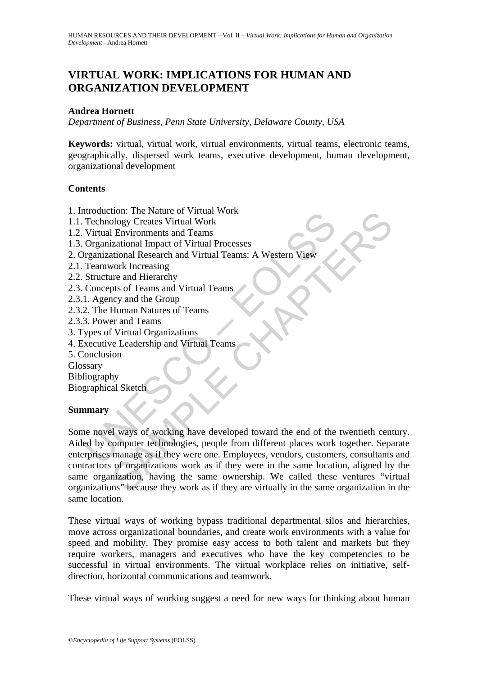# **VIRTUAL WORK: IMPLICATIONS FOR HUMAN AND ORGANIZATION DEVELOPMENT**

#### **Andrea Hornett**

*Department of Business, Penn State University, Delaware County, USA* 

**Keywords:** virtual, virtual work, virtual environments, virtual teams, electronic teams, geographically, dispersed work teams, executive development, human development, organizational development

#### **Contents**

- 1. Introduction: The Nature of Virtual Work
- 1.1. Technology Creates Virtual Work
- 1.2. Virtual Environments and Teams
- 1.3. Organizational Impact of Virtual Processes
- 2. Organizational Research and Virtual Teams: A Western View
- 2.1. Teamwork Increasing
- 2.2. Structure and Hierarchy
- 2.3. Concepts of Teams and Virtual Teams
- 2.3.1. Agency and the Group
- 2.3.2. The Human Natures of Teams
- 2.3.3. Power and Teams
- 3. Types of Virtual Organizations
- 4. Executive Leadership and Virtual Teams
- 5. Conclusion

Glossary

Bibliography

Biographical Sketch

## **Summary**

Example The Fault of Virtual Work<br>
Technology Creates Virtual Work<br>
Virtual Environments and Teams<br>
Organizational Impact of Virtual Processes<br>
Tragmizational Research and Virtual Teams: A Western View<br>
Teamwork Increasing The Nature of Virtual Work<br>
Dology Creates Virtual Work<br>
I Environments and Teams<br>
Environments and Teams<br>
Environments and Teams<br>
vork Increasing<br>
tree and Hierarchy<br>
vork Increasing<br>
tree and Hierarchy<br>
work Increasing<br> Some novel ways of working have developed toward the end of the twentieth century. Aided by computer technologies, people from different places work together. Separate enterprises manage as if they were one. Employees, vendors, customers, consultants and contractors of organizations work as if they were in the same location, aligned by the same organization, having the same ownership. We called these ventures "virtual organizations" because they work as if they are virtually in the same organization in the same location.

These virtual ways of working bypass traditional departmental silos and hierarchies, move across organizational boundaries, and create work environments with a value for speed and mobility. They promise easy access to both talent and markets but they require workers, managers and executives who have the key competencies to be successful in virtual environments. The virtual workplace relies on initiative, selfdirection, horizontal communications and teamwork.

These virtual ways of working suggest a need for new ways for thinking about human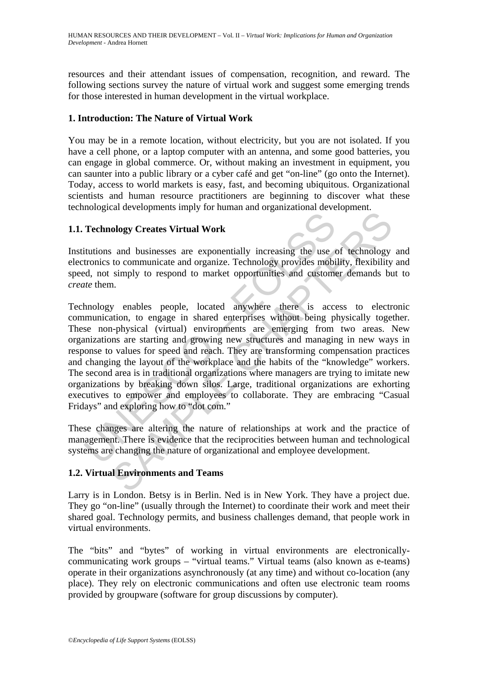resources and their attendant issues of compensation, recognition, and reward. The following sections survey the nature of virtual work and suggest some emerging trends for those interested in human development in the virtual workplace.

### **1. Introduction: The Nature of Virtual Work**

You may be in a remote location, without electricity, but you are not isolated. If you have a cell phone, or a laptop computer with an antenna, and some good batteries, you can engage in global commerce. Or, without making an investment in equipment, you can saunter into a public library or a cyber café and get "on-line" (go onto the Internet). Today, access to world markets is easy, fast, and becoming ubiquitous. Organizational scientists and human resource practitioners are beginning to discover what these technological developments imply for human and organizational development.

## **1.1. Technology Creates Virtual Work**

Institutions and businesses are exponentially increasing the use of technology and electronics to communicate and organize. Technology provides mobility, flexibility and speed, not simply to respond to market opportunities and customer demands but to *create* them.

Technology Creates Virtual Work<br>
itutions and businesses are exponentially increasing the use tronics to communicate and organize. Technology provides mobiled, not simply to respond to market opportunities and custome<br> *ut* ology Creates Virtual Work<br>
and businesses are exponentially increasing the use of technology<br>
to communicate and organize. Technology provides mobility, flexibility<br>
simply to respond to market opportunities and customer Technology enables people, located anywhere there is access to electronic communication, to engage in shared enterprises without being physically together. These non-physical (virtual) environments are emerging from two areas. New organizations are starting and growing new structures and managing in new ways in response to values for speed and reach. They are transforming compensation practices and changing the layout of the workplace and the habits of the "knowledge" workers. The second area is in traditional organizations where managers are trying to imitate new organizations by breaking down silos. Large, traditional organizations are exhorting executives to empower and employees to collaborate. They are embracing "Casual Fridays" and exploring how to "dot com."

These changes are altering the nature of relationships at work and the practice of management. There is evidence that the reciprocities between human and technological systems are changing the nature of organizational and employee development.

## **1.2. Virtual Environments and Teams**

Larry is in London. Betsy is in Berlin. Ned is in New York. They have a project due. They go "on-line" (usually through the Internet) to coordinate their work and meet their shared goal. Technology permits, and business challenges demand, that people work in virtual environments.

The "bits" and "bytes" of working in virtual environments are electronicallycommunicating work groups – "virtual teams." Virtual teams (also known as e-teams) operate in their organizations asynchronously (at any time) and without co-location (any place). They rely on electronic communications and often use electronic team rooms provided by groupware (software for group discussions by computer).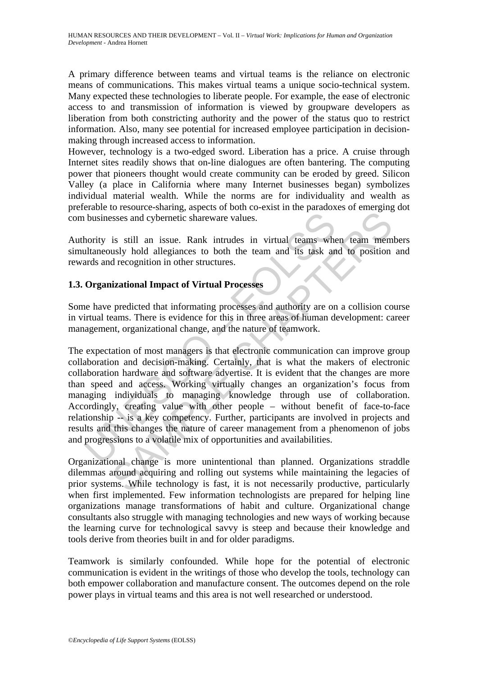A primary difference between teams and virtual teams is the reliance on electronic means of communications. This makes virtual teams a unique socio-technical system. Many expected these technologies to liberate people. For example, the ease of electronic access to and transmission of information is viewed by groupware developers as liberation from both constricting authority and the power of the status quo to restrict information. Also, many see potential for increased employee participation in decisionmaking through increased access to information.

However, technology is a two-edged sword. Liberation has a price. A cruise through Internet sites readily shows that on-line dialogues are often bantering. The computing power that pioneers thought would create community can be eroded by greed. Silicon Valley (a place in California where many Internet businesses began) symbolizes individual material wealth. While the norms are for individuality and wealth as preferable to resource-sharing, aspects of both co-exist in the paradoxes of emerging dot com businesses and cybernetic shareware values.

Authority is still an issue. Rank intrudes in virtual teams when team members simultaneously hold allegiances to both the team and its task and to position and rewards and recognition in other structures.

## **1.3. Organizational Impact of Virtual Processes**

Some have predicted that informating processes and authority are on a collision course in virtual teams. There is evidence for this in three areas of human development: career management, organizational change, and the nature of teamwork.

Interior is still an issue. Rank intrudes in virtual teams when<br>thority is still an issue. Rank intrudes in virtual teams when<br>tards and recognition in other structures.<br>**Organizational Impact of Virtual Processes**<br>the hav sesses and optermetic shares values.<br>
is still an issue. Rank intrudes in virtual teams when team mem<br>
usly hold allegiances to both the team and its task and to position<br>
usly hold allegiances to both the team and its tas The expectation of most managers is that electronic communication can improve group collaboration and decision-making. Certainly, that is what the makers of electronic collaboration hardware and software advertise. It is evident that the changes are more than speed and access. Working virtually changes an organization's focus from managing individuals to managing knowledge through use of collaboration. Accordingly, creating value with other people – without benefit of face-to-face relationship -- is a key competency. Further, participants are involved in projects and results and this changes the nature of career management from a phenomenon of jobs and progressions to a volatile mix of opportunities and availabilities.

Organizational change is more unintentional than planned. Organizations straddle dilemmas around acquiring and rolling out systems while maintaining the legacies of prior systems. While technology is fast, it is not necessarily productive, particularly when first implemented. Few information technologists are prepared for helping line organizations manage transformations of habit and culture. Organizational change consultants also struggle with managing technologies and new ways of working because the learning curve for technological savvy is steep and because their knowledge and tools derive from theories built in and for older paradigms.

Teamwork is similarly confounded. While hope for the potential of electronic communication is evident in the writings of those who develop the tools, technology can both empower collaboration and manufacture consent. The outcomes depend on the role power plays in virtual teams and this area is not well researched or understood.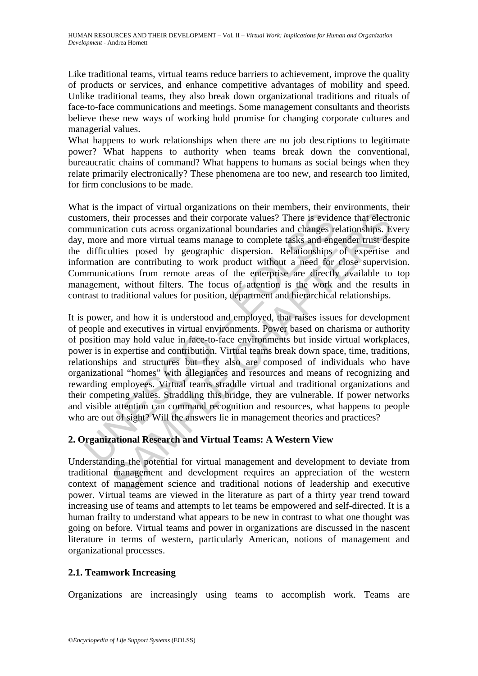Like traditional teams, virtual teams reduce barriers to achievement, improve the quality of products or services, and enhance competitive advantages of mobility and speed. Unlike traditional teams, they also break down organizational traditions and rituals of face-to-face communications and meetings. Some management consultants and theorists believe these new ways of working hold promise for changing corporate cultures and managerial values.

What happens to work relationships when there are no job descriptions to legitimate power? What happens to authority when teams break down the conventional, bureaucratic chains of command? What happens to humans as social beings when they relate primarily electronically? These phenomena are too new, and research too limited, for firm conclusions to be made.

What is the impact of virtual organizations on their members, their environments, their customers, their processes and their corporate values? There is evidence that electronic communication cuts across organizational boundaries and changes relationships. Every day, more and more virtual teams manage to complete tasks and engender trust despite the difficulties posed by geographic dispersion. Relationships of expertise and information are contributing to work product without a need for close supervision. Communications from remote areas of the enterprise are directly available to top management, without filters. The focus of attention is the work and the results in contrast to traditional values for position, department and hierarchical relationships.

omers, their processes and their corporate values? There is evide<br>munication cuts across organizational boundaries and changes re<br>mean among to more and more virtual teams manage to complete tasks and enged<br>ifficulties pos their processes and their corporate values? There is evidence that electricin cuts across organizational boundaries and changes relationships. E and more virtual teams mange to complete tasks and energed rust desired in th It is power, and how it is understood and employed, that raises issues for development of people and executives in virtual environments. Power based on charisma or authority of position may hold value in face-to-face environments but inside virtual workplaces, power is in expertise and contribution. Virtual teams break down space, time, traditions, relationships and structures but they also are composed of individuals who have organizational "homes" with allegiances and resources and means of recognizing and rewarding employees. Virtual teams straddle virtual and traditional organizations and their competing values. Straddling this bridge, they are vulnerable. If power networks and visible attention can command recognition and resources, what happens to people who are out of sight? Will the answers lie in management theories and practices?

## **2. Organizational Research and Virtual Teams: A Western View**

Understanding the potential for virtual management and development to deviate from traditional management and development requires an appreciation of the western context of management science and traditional notions of leadership and executive power. Virtual teams are viewed in the literature as part of a thirty year trend toward increasing use of teams and attempts to let teams be empowered and self-directed. It is a human frailty to understand what appears to be new in contrast to what one thought was going on before. Virtual teams and power in organizations are discussed in the nascent literature in terms of western, particularly American, notions of management and organizational processes.

## **2.1. Teamwork Increasing**

Organizations are increasingly using teams to accomplish work. Teams are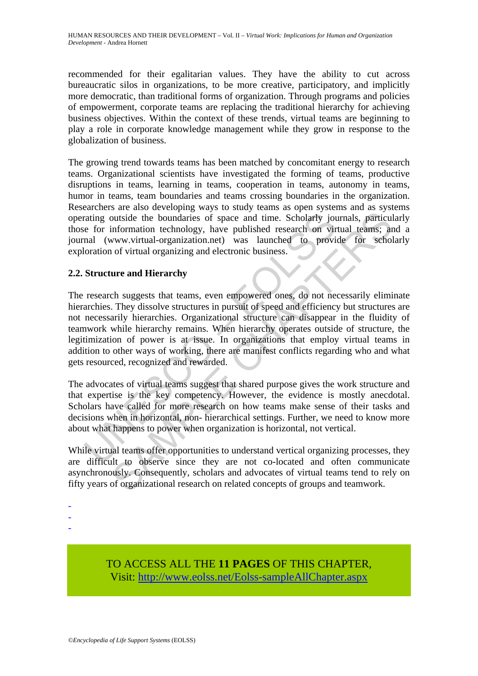recommended for their egalitarian values. They have the ability to cut across bureaucratic silos in organizations, to be more creative, participatory, and implicitly more democratic, than traditional forms of organization. Through programs and policies of empowerment, corporate teams are replacing the traditional hierarchy for achieving business objectives. Within the context of these trends, virtual teams are beginning to play a role in corporate knowledge management while they grow in response to the globalization of business.

The growing trend towards teams has been matched by concomitant energy to research teams. Organizational scientists have investigated the forming of teams, productive disruptions in teams, learning in teams, cooperation in teams, autonomy in teams, humor in teams, team boundaries and teams crossing boundaries in the organization. Researchers are also developing ways to study teams as open systems and as systems operating outside the boundaries of space and time. Scholarly journals, particularly those for information technology, have published research on virtual teams; and a journal (www.virtual-organization.net) was launched to provide for scholarly exploration of virtual organizing and electronic business.

## **2.2. Structure and Hierarchy**

rating outside the boundaries of space and time. Scholarly jote for information technology, have published research on virnal (www.virtual-organization.net) was launched to provide original (www.virtual-organization.net) w bustide the boundaries of space and time. Scholarly journals, particul<br>information technology, have published research on virtual teams; an<br>information technology, have published research on virtual teams; an<br>www.virtual-o The research suggests that teams, even empowered ones, do not necessarily eliminate hierarchies. They dissolve structures in pursuit of speed and efficiency but structures are not necessarily hierarchies. Organizational structure can disappear in the fluidity of teamwork while hierarchy remains. When hierarchy operates outside of structure, the legitimization of power is at issue. In organizations that employ virtual teams in addition to other ways of working, there are manifest conflicts regarding who and what gets resourced, recognized and rewarded.

The advocates of virtual teams suggest that shared purpose gives the work structure and that expertise is the key competency. However, the evidence is mostly anecdotal. Scholars have called for more research on how teams make sense of their tasks and decisions when in horizontal, non- hierarchical settings. Further, we need to know more about what happens to power when organization is horizontal, not vertical.

While virtual teams offer opportunities to understand vertical organizing processes, they are difficult to observe since they are not co-located and often communicate asynchronously. Consequently, scholars and advocates of virtual teams tend to rely on fifty years of organizational research on related concepts of groups and teamwork.

- -
- -
- -

TO ACCESS ALL THE **11 PAGES** OF THIS CHAPTER, Visit[: http://www.eolss.net/Eolss-sampleAllChapter.aspx](https://www.eolss.net/ebooklib/sc_cart.aspx?File=E1-10-05-04)